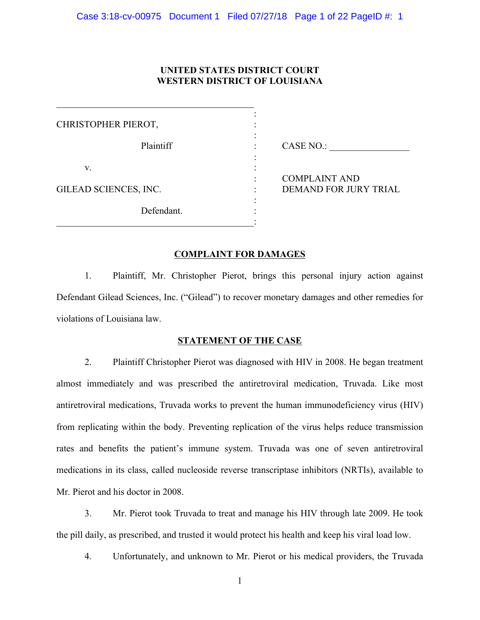# **UNITED STATES DISTRICT COURT WESTERN DISTRICT OF LOUISIANA**

| CHRISTOPHER PIEROT,   |                              |
|-----------------------|------------------------------|
| Plaintiff             | CASE NO.:                    |
| V.                    | <b>COMPLAINT AND</b>         |
| GILEAD SCIENCES, INC. | <b>DEMAND FOR JURY TRIAL</b> |
| Defendant.            |                              |

# **COMPLAINT FOR DAMAGES**

1. Plaintiff, Mr. Christopher Pierot, brings this personal injury action against Defendant Gilead Sciences, Inc. ("Gilead") to recover monetary damages and other remedies for violations of Louisiana law.

## **STATEMENT OF THE CASE**

2. Plaintiff Christopher Pierot was diagnosed with HIV in 2008. He began treatment almost immediately and was prescribed the antiretroviral medication, Truvada. Like most antiretroviral medications, Truvada works to prevent the human immunodeficiency virus (HIV) from replicating within the body. Preventing replication of the virus helps reduce transmission rates and benefits the patient's immune system. Truvada was one of seven antiretroviral medications in its class, called nucleoside reverse transcriptase inhibitors (NRTIs), available to Mr. Pierot and his doctor in 2008.

3. Mr. Pierot took Truvada to treat and manage his HIV through late 2009. He took the pill daily, as prescribed, and trusted it would protect his health and keep his viral load low.

4. Unfortunately, and unknown to Mr. Pierot or his medical providers, the Truvada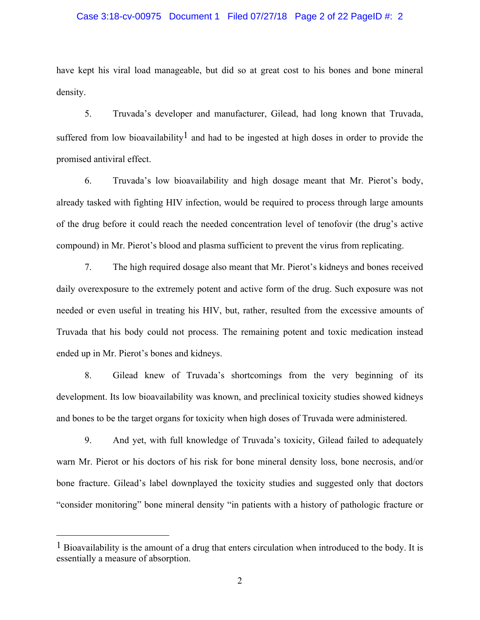#### Case 3:18-cv-00975 Document 1 Filed 07/27/18 Page 2 of 22 PageID #: 2

have kept his viral load manageable, but did so at great cost to his bones and bone mineral density.

5. Truvada's developer and manufacturer, Gilead, had long known that Truvada, suffered from low bioavailability<sup>1</sup> and had to be ingested at high doses in order to provide the promised antiviral effect.

6. Truvada's low bioavailability and high dosage meant that Mr. Pierot's body, already tasked with fighting HIV infection, would be required to process through large amounts of the drug before it could reach the needed concentration level of tenofovir (the drug's active compound) in Mr. Pierot's blood and plasma sufficient to prevent the virus from replicating.

7. The high required dosage also meant that Mr. Pierot's kidneys and bones received daily overexposure to the extremely potent and active form of the drug. Such exposure was not needed or even useful in treating his HIV, but, rather, resulted from the excessive amounts of Truvada that his body could not process. The remaining potent and toxic medication instead ended up in Mr. Pierot's bones and kidneys.

8. Gilead knew of Truvada's shortcomings from the very beginning of its development. Its low bioavailability was known, and preclinical toxicity studies showed kidneys and bones to be the target organs for toxicity when high doses of Truvada were administered.

9. And yet, with full knowledge of Truvada's toxicity, Gilead failed to adequately warn Mr. Pierot or his doctors of his risk for bone mineral density loss, bone necrosis, and/or bone fracture. Gilead's label downplayed the toxicity studies and suggested only that doctors "consider monitoring" bone mineral density "in patients with a history of pathologic fracture or

 $\overline{a}$ 

<sup>&</sup>lt;sup>1</sup> Bioavailability is the amount of a drug that enters circulation when introduced to the body. It is essentially a measure of absorption.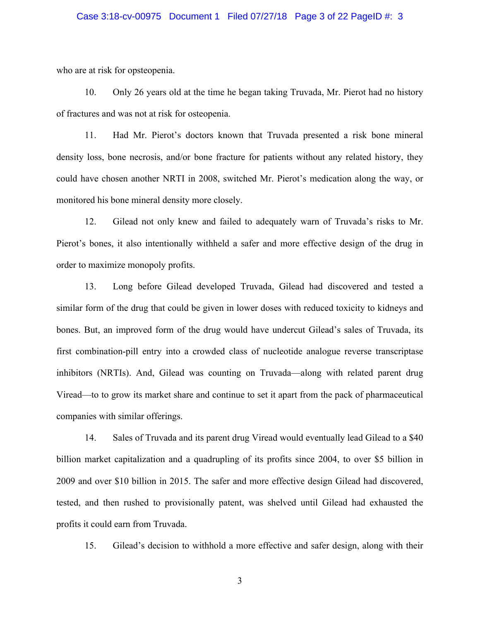#### Case 3:18-cv-00975 Document 1 Filed 07/27/18 Page 3 of 22 PageID #: 3

who are at risk for opsteopenia.

10. Only 26 years old at the time he began taking Truvada, Mr. Pierot had no history of fractures and was not at risk for osteopenia.

11. Had Mr. Pierot's doctors known that Truvada presented a risk bone mineral density loss, bone necrosis, and/or bone fracture for patients without any related history, they could have chosen another NRTI in 2008, switched Mr. Pierot's medication along the way, or monitored his bone mineral density more closely.

12. Gilead not only knew and failed to adequately warn of Truvada's risks to Mr. Pierot's bones, it also intentionally withheld a safer and more effective design of the drug in order to maximize monopoly profits.

13. Long before Gilead developed Truvada, Gilead had discovered and tested a similar form of the drug that could be given in lower doses with reduced toxicity to kidneys and bones. But, an improved form of the drug would have undercut Gilead's sales of Truvada, its first combination-pill entry into a crowded class of nucleotide analogue reverse transcriptase inhibitors (NRTIs). And, Gilead was counting on Truvada—along with related parent drug Viread—to to grow its market share and continue to set it apart from the pack of pharmaceutical companies with similar offerings.

14. Sales of Truvada and its parent drug Viread would eventually lead Gilead to a \$40 billion market capitalization and a quadrupling of its profits since 2004, to over \$5 billion in 2009 and over \$10 billion in 2015. The safer and more effective design Gilead had discovered, tested, and then rushed to provisionally patent, was shelved until Gilead had exhausted the profits it could earn from Truvada.

15. Gilead's decision to withhold a more effective and safer design, along with their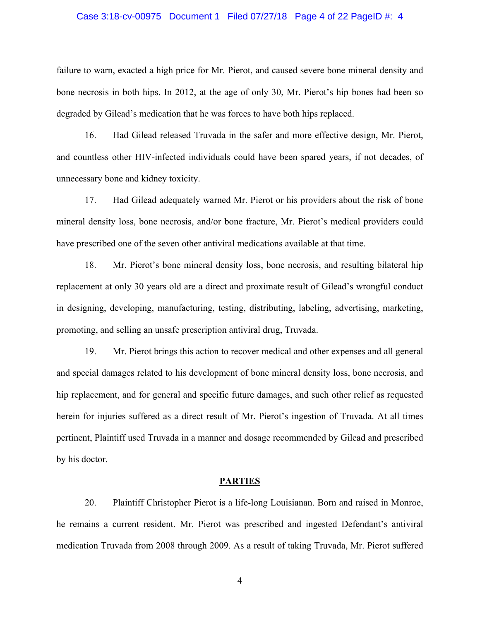#### Case 3:18-cv-00975 Document 1 Filed 07/27/18 Page 4 of 22 PageID #: 4

failure to warn, exacted a high price for Mr. Pierot, and caused severe bone mineral density and bone necrosis in both hips. In 2012, at the age of only 30, Mr. Pierot's hip bones had been so degraded by Gilead's medication that he was forces to have both hips replaced.

16. Had Gilead released Truvada in the safer and more effective design, Mr. Pierot, and countless other HIV-infected individuals could have been spared years, if not decades, of unnecessary bone and kidney toxicity.

17. Had Gilead adequately warned Mr. Pierot or his providers about the risk of bone mineral density loss, bone necrosis, and/or bone fracture, Mr. Pierot's medical providers could have prescribed one of the seven other antiviral medications available at that time.

18. Mr. Pierot's bone mineral density loss, bone necrosis, and resulting bilateral hip replacement at only 30 years old are a direct and proximate result of Gilead's wrongful conduct in designing, developing, manufacturing, testing, distributing, labeling, advertising, marketing, promoting, and selling an unsafe prescription antiviral drug, Truvada.

19. Mr. Pierot brings this action to recover medical and other expenses and all general and special damages related to his development of bone mineral density loss, bone necrosis, and hip replacement, and for general and specific future damages, and such other relief as requested herein for injuries suffered as a direct result of Mr. Pierot's ingestion of Truvada. At all times pertinent, Plaintiff used Truvada in a manner and dosage recommended by Gilead and prescribed by his doctor.

#### **PARTIES**

20. Plaintiff Christopher Pierot is a life-long Louisianan. Born and raised in Monroe, he remains a current resident. Mr. Pierot was prescribed and ingested Defendant's antiviral medication Truvada from 2008 through 2009. As a result of taking Truvada, Mr. Pierot suffered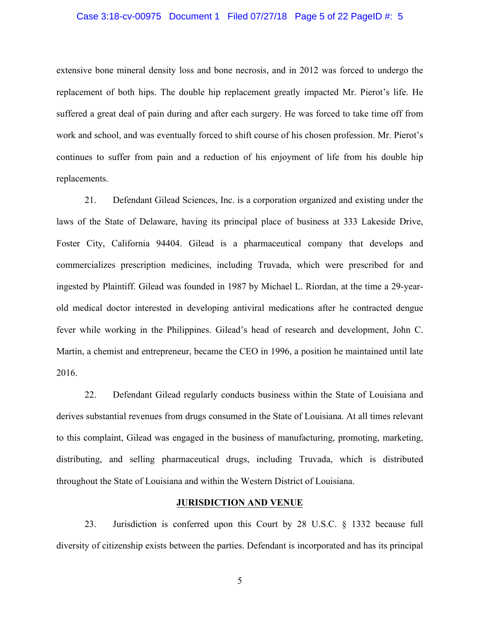#### Case 3:18-cv-00975 Document 1 Filed 07/27/18 Page 5 of 22 PageID #: 5

extensive bone mineral density loss and bone necrosis, and in 2012 was forced to undergo the replacement of both hips. The double hip replacement greatly impacted Mr. Pierot's life. He suffered a great deal of pain during and after each surgery. He was forced to take time off from work and school, and was eventually forced to shift course of his chosen profession. Mr. Pierot's continues to suffer from pain and a reduction of his enjoyment of life from his double hip replacements.

21. Defendant Gilead Sciences, Inc. is a corporation organized and existing under the laws of the State of Delaware, having its principal place of business at 333 Lakeside Drive, Foster City, California 94404. Gilead is a pharmaceutical company that develops and commercializes prescription medicines, including Truvada, which were prescribed for and ingested by Plaintiff. Gilead was founded in 1987 by Michael L. Riordan, at the time a 29-yearold medical doctor interested in developing antiviral medications after he contracted dengue fever while working in the Philippines. Gilead's head of research and development, John C. Martin, a chemist and entrepreneur, became the CEO in 1996, a position he maintained until late 2016.

22. Defendant Gilead regularly conducts business within the State of Louisiana and derives substantial revenues from drugs consumed in the State of Louisiana. At all times relevant to this complaint, Gilead was engaged in the business of manufacturing, promoting, marketing, distributing, and selling pharmaceutical drugs, including Truvada, which is distributed throughout the State of Louisiana and within the Western District of Louisiana.

#### **JURISDICTION AND VENUE**

23. Jurisdiction is conferred upon this Court by 28 U.S.C. § 1332 because full diversity of citizenship exists between the parties. Defendant is incorporated and has its principal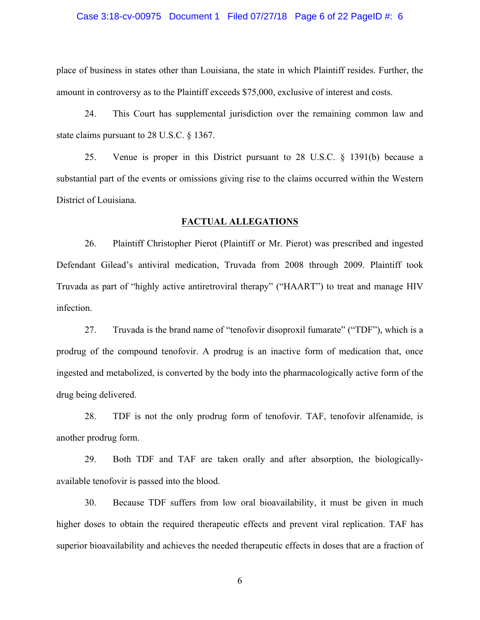#### Case 3:18-cv-00975 Document 1 Filed 07/27/18 Page 6 of 22 PageID #: 6

place of business in states other than Louisiana, the state in which Plaintiff resides. Further, the amount in controversy as to the Plaintiff exceeds \$75,000, exclusive of interest and costs.

24. This Court has supplemental jurisdiction over the remaining common law and state claims pursuant to 28 U.S.C. § 1367.

25. Venue is proper in this District pursuant to 28 U.S.C. § 1391(b) because a substantial part of the events or omissions giving rise to the claims occurred within the Western District of Louisiana.

### **FACTUAL ALLEGATIONS**

26. Plaintiff Christopher Pierot (Plaintiff or Mr. Pierot) was prescribed and ingested Defendant Gilead's antiviral medication, Truvada from 2008 through 2009. Plaintiff took Truvada as part of "highly active antiretroviral therapy" ("HAART") to treat and manage HIV infection.

27. Truvada is the brand name of "tenofovir disoproxil fumarate" ("TDF"), which is a prodrug of the compound tenofovir. A prodrug is an inactive form of medication that, once ingested and metabolized, is converted by the body into the pharmacologically active form of the drug being delivered.

28. TDF is not the only prodrug form of tenofovir. TAF, tenofovir alfenamide, is another prodrug form.

29. Both TDF and TAF are taken orally and after absorption, the biologicallyavailable tenofovir is passed into the blood.

30. Because TDF suffers from low oral bioavailability, it must be given in much higher doses to obtain the required therapeutic effects and prevent viral replication. TAF has superior bioavailability and achieves the needed therapeutic effects in doses that are a fraction of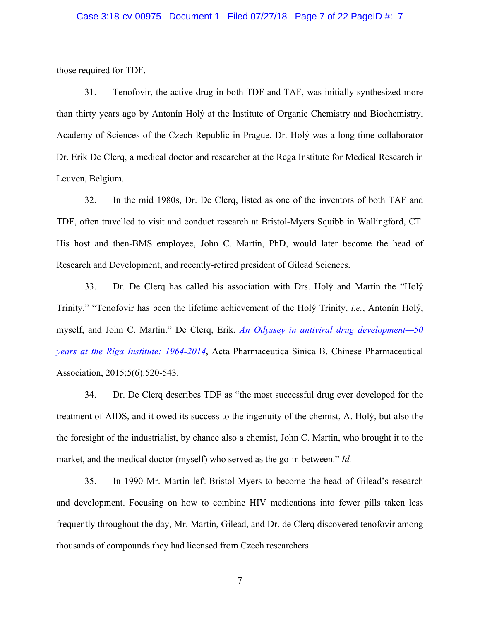#### Case 3:18-cv-00975 Document 1 Filed 07/27/18 Page 7 of 22 PageID #: 7

those required for TDF.

31. Tenofovir, the active drug in both TDF and TAF, was initially synthesized more than thirty years ago by Antonín Holý at the Institute of Organic Chemistry and Biochemistry, Academy of Sciences of the Czech Republic in Prague. Dr. Holý was a long-time collaborator Dr. Erik De Clerq, a medical doctor and researcher at the Rega Institute for Medical Research in Leuven, Belgium.

32. In the mid 1980s, Dr. De Clerq, listed as one of the inventors of both TAF and TDF, often travelled to visit and conduct research at Bristol-Myers Squibb in Wallingford, CT. His host and then-BMS employee, John C. Martin, PhD, would later become the head of Research and Development, and recently-retired president of Gilead Sciences.

33. Dr. De Clerq has called his association with Drs. Holý and Martin the "Holý Trinity." "Tenofovir has been the lifetime achievement of the Holý Trinity, *i.e.*, Antonín Holý, myself, and John C. Martin." De Clerq, Erik, *An Odyssey in antiviral drug development—50 years at the Riga Institute: 1964-2014*, Acta Pharmaceutica Sinica B, Chinese Pharmaceutical Association, 2015;5(6):520-543.

34. Dr. De Clerq describes TDF as "the most successful drug ever developed for the treatment of AIDS, and it owed its success to the ingenuity of the chemist, A. Holý, but also the the foresight of the industrialist, by chance also a chemist, John C. Martin, who brought it to the market, and the medical doctor (myself) who served as the go-in between." *Id.* 

35. In 1990 Mr. Martin left Bristol-Myers to become the head of Gilead's research and development. Focusing on how to combine HIV medications into fewer pills taken less frequently throughout the day, Mr. Martin, Gilead, and Dr. de Clerq discovered tenofovir among thousands of compounds they had licensed from Czech researchers.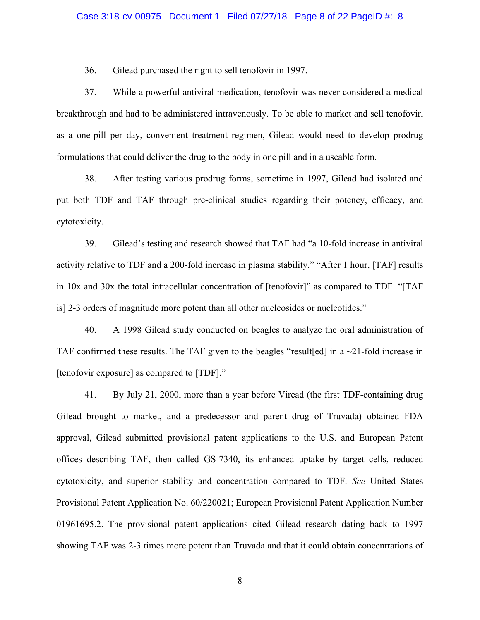36. Gilead purchased the right to sell tenofovir in 1997.

37. While a powerful antiviral medication, tenofovir was never considered a medical breakthrough and had to be administered intravenously. To be able to market and sell tenofovir, as a one-pill per day, convenient treatment regimen, Gilead would need to develop prodrug formulations that could deliver the drug to the body in one pill and in a useable form.

38. After testing various prodrug forms, sometime in 1997, Gilead had isolated and put both TDF and TAF through pre-clinical studies regarding their potency, efficacy, and cytotoxicity.

39. Gilead's testing and research showed that TAF had "a 10-fold increase in antiviral activity relative to TDF and a 200-fold increase in plasma stability." "After 1 hour, [TAF] results in 10x and 30x the total intracellular concentration of [tenofovir]" as compared to TDF. "[TAF is] 2-3 orders of magnitude more potent than all other nucleosides or nucleotides."

40. A 1998 Gilead study conducted on beagles to analyze the oral administration of TAF confirmed these results. The TAF given to the beagles "result [ed] in a  $\sim$ 21-fold increase in [tenofovir exposure] as compared to [TDF]."

41. By July 21, 2000, more than a year before Viread (the first TDF-containing drug Gilead brought to market, and a predecessor and parent drug of Truvada) obtained FDA approval, Gilead submitted provisional patent applications to the U.S. and European Patent offices describing TAF, then called GS-7340, its enhanced uptake by target cells, reduced cytotoxicity, and superior stability and concentration compared to TDF. *See* United States Provisional Patent Application No. 60/220021; European Provisional Patent Application Number 01961695.2. The provisional patent applications cited Gilead research dating back to 1997 showing TAF was 2-3 times more potent than Truvada and that it could obtain concentrations of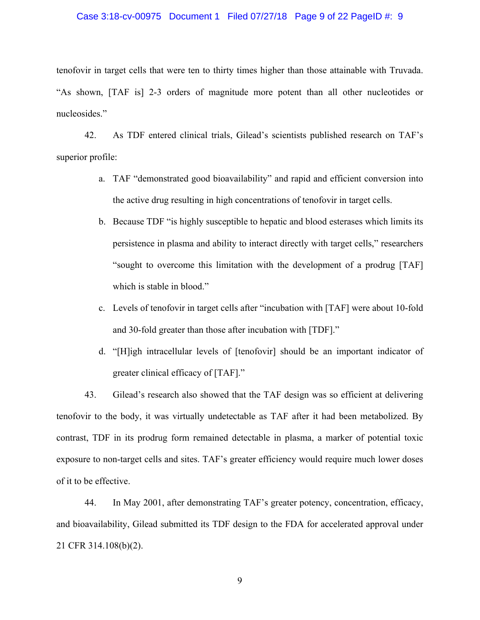#### Case 3:18-cv-00975 Document 1 Filed 07/27/18 Page 9 of 22 PageID #: 9

tenofovir in target cells that were ten to thirty times higher than those attainable with Truvada. "As shown, [TAF is] 2-3 orders of magnitude more potent than all other nucleotides or nucleosides."

42. As TDF entered clinical trials, Gilead's scientists published research on TAF's superior profile:

- a. TAF "demonstrated good bioavailability" and rapid and efficient conversion into the active drug resulting in high concentrations of tenofovir in target cells.
- b. Because TDF "is highly susceptible to hepatic and blood esterases which limits its persistence in plasma and ability to interact directly with target cells," researchers "sought to overcome this limitation with the development of a prodrug [TAF] which is stable in blood."
- c. Levels of tenofovir in target cells after "incubation with [TAF] were about 10-fold and 30-fold greater than those after incubation with [TDF]."
- d. "[H]igh intracellular levels of [tenofovir] should be an important indicator of greater clinical efficacy of [TAF]."

43. Gilead's research also showed that the TAF design was so efficient at delivering tenofovir to the body, it was virtually undetectable as TAF after it had been metabolized. By contrast, TDF in its prodrug form remained detectable in plasma, a marker of potential toxic exposure to non-target cells and sites. TAF's greater efficiency would require much lower doses of it to be effective.

44. In May 2001, after demonstrating TAF's greater potency, concentration, efficacy, and bioavailability, Gilead submitted its TDF design to the FDA for accelerated approval under 21 CFR 314.108(b)(2).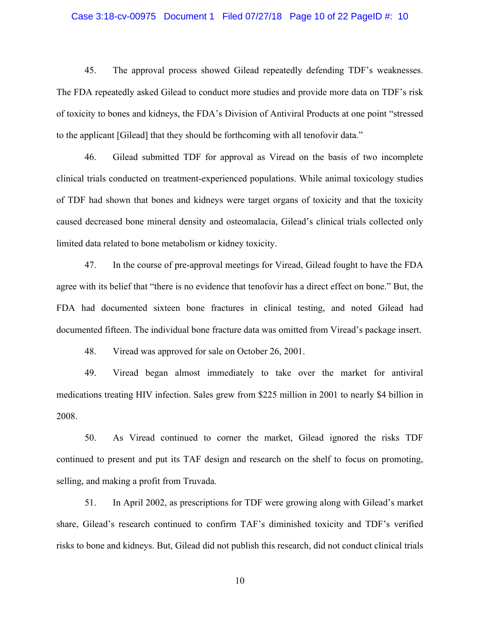#### Case 3:18-cv-00975 Document 1 Filed 07/27/18 Page 10 of 22 PageID #: 10

45. The approval process showed Gilead repeatedly defending TDF's weaknesses. The FDA repeatedly asked Gilead to conduct more studies and provide more data on TDF's risk of toxicity to bones and kidneys, the FDA's Division of Antiviral Products at one point "stressed to the applicant [Gilead] that they should be forthcoming with all tenofovir data."

46. Gilead submitted TDF for approval as Viread on the basis of two incomplete clinical trials conducted on treatment-experienced populations. While animal toxicology studies of TDF had shown that bones and kidneys were target organs of toxicity and that the toxicity caused decreased bone mineral density and osteomalacia, Gilead's clinical trials collected only limited data related to bone metabolism or kidney toxicity.

47. In the course of pre-approval meetings for Viread, Gilead fought to have the FDA agree with its belief that "there is no evidence that tenofovir has a direct effect on bone." But, the FDA had documented sixteen bone fractures in clinical testing, and noted Gilead had documented fifteen. The individual bone fracture data was omitted from Viread's package insert.

48. Viread was approved for sale on October 26, 2001.

49. Viread began almost immediately to take over the market for antiviral medications treating HIV infection. Sales grew from \$225 million in 2001 to nearly \$4 billion in 2008.

50. As Viread continued to corner the market, Gilead ignored the risks TDF continued to present and put its TAF design and research on the shelf to focus on promoting, selling, and making a profit from Truvada.

51. In April 2002, as prescriptions for TDF were growing along with Gilead's market share, Gilead's research continued to confirm TAF's diminished toxicity and TDF's verified risks to bone and kidneys. But, Gilead did not publish this research, did not conduct clinical trials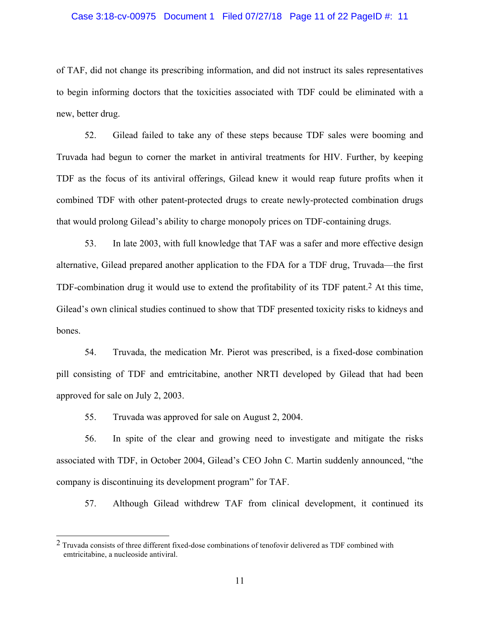#### Case 3:18-cv-00975 Document 1 Filed 07/27/18 Page 11 of 22 PageID #: 11

of TAF, did not change its prescribing information, and did not instruct its sales representatives to begin informing doctors that the toxicities associated with TDF could be eliminated with a new, better drug.

52. Gilead failed to take any of these steps because TDF sales were booming and Truvada had begun to corner the market in antiviral treatments for HIV. Further, by keeping TDF as the focus of its antiviral offerings, Gilead knew it would reap future profits when it combined TDF with other patent-protected drugs to create newly-protected combination drugs that would prolong Gilead's ability to charge monopoly prices on TDF-containing drugs.

53. In late 2003, with full knowledge that TAF was a safer and more effective design alternative, Gilead prepared another application to the FDA for a TDF drug, Truvada—the first TDF-combination drug it would use to extend the profitability of its TDF patent.<sup>2</sup> At this time, Gilead's own clinical studies continued to show that TDF presented toxicity risks to kidneys and bones.

54. Truvada, the medication Mr. Pierot was prescribed, is a fixed-dose combination pill consisting of TDF and emtricitabine, another NRTI developed by Gilead that had been approved for sale on July 2, 2003.

55. Truvada was approved for sale on August 2, 2004.

56. In spite of the clear and growing need to investigate and mitigate the risks associated with TDF, in October 2004, Gilead's CEO John C. Martin suddenly announced, "the company is discontinuing its development program" for TAF.

57. Although Gilead withdrew TAF from clinical development, it continued its

 $2$  Truvada consists of three different fixed-dose combinations of tenofovir delivered as TDF combined with emtricitabine, a nucleoside antiviral.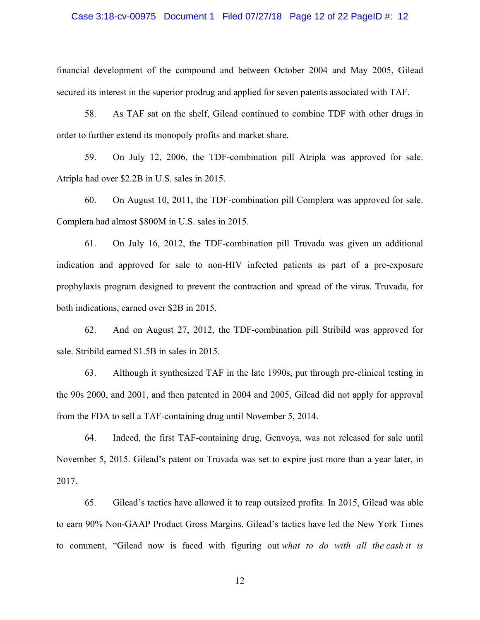#### Case 3:18-cv-00975 Document 1 Filed 07/27/18 Page 12 of 22 PageID #: 12

financial development of the compound and between October 2004 and May 2005, Gilead secured its interest in the superior prodrug and applied for seven patents associated with TAF.

58. As TAF sat on the shelf, Gilead continued to combine TDF with other drugs in order to further extend its monopoly profits and market share.

59. On July 12, 2006, the TDF-combination pill Atripla was approved for sale. Atripla had over \$2.2B in U.S. sales in 2015.

60. On August 10, 2011, the TDF-combination pill Complera was approved for sale. Complera had almost \$800M in U.S. sales in 2015.

61. On July 16, 2012, the TDF-combination pill Truvada was given an additional indication and approved for sale to non-HIV infected patients as part of a pre-exposure prophylaxis program designed to prevent the contraction and spread of the virus. Truvada, for both indications, earned over \$2B in 2015.

62. And on August 27, 2012, the TDF-combination pill Stribild was approved for sale. Stribild earned \$1.5B in sales in 2015.

63. Although it synthesized TAF in the late 1990s, put through pre-clinical testing in the 90s 2000, and 2001, and then patented in 2004 and 2005, Gilead did not apply for approval from the FDA to sell a TAF-containing drug until November 5, 2014.

64. Indeed, the first TAF-containing drug, Genvoya, was not released for sale until November 5, 2015. Gilead's patent on Truvada was set to expire just more than a year later, in 2017.

65. Gilead's tactics have allowed it to reap outsized profits. In 2015, Gilead was able to earn 90% Non-GAAP Product Gross Margins. Gilead's tactics have led the New York Times to comment, "Gilead now is faced with figuring out *what to do with all the cash it is*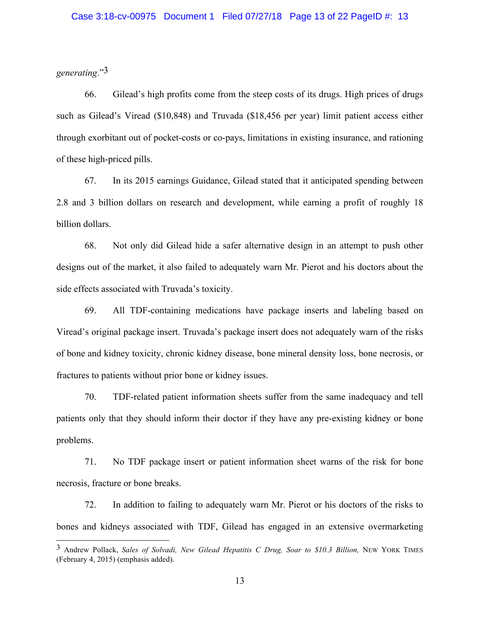*generating*."3

66. Gilead's high profits come from the steep costs of its drugs. High prices of drugs such as Gilead's Viread (\$10,848) and Truvada (\$18,456 per year) limit patient access either through exorbitant out of pocket-costs or co-pays, limitations in existing insurance, and rationing of these high-priced pills.

67. In its 2015 earnings Guidance, Gilead stated that it anticipated spending between 2.8 and 3 billion dollars on research and development, while earning a profit of roughly 18 billion dollars.

68. Not only did Gilead hide a safer alternative design in an attempt to push other designs out of the market, it also failed to adequately warn Mr. Pierot and his doctors about the side effects associated with Truvada's toxicity.

69. All TDF-containing medications have package inserts and labeling based on Viread's original package insert. Truvada's package insert does not adequately warn of the risks of bone and kidney toxicity, chronic kidney disease, bone mineral density loss, bone necrosis, or fractures to patients without prior bone or kidney issues.

70. TDF-related patient information sheets suffer from the same inadequacy and tell patients only that they should inform their doctor if they have any pre-existing kidney or bone problems.

71. No TDF package insert or patient information sheet warns of the risk for bone necrosis, fracture or bone breaks.

72. In addition to failing to adequately warn Mr. Pierot or his doctors of the risks to bones and kidneys associated with TDF, Gilead has engaged in an extensive overmarketing

 <sup>3</sup> Andrew Pollack, *Sales of Solvadi, New Gilead Hepatitis C Drug, Soar to \$10.3 Billion,* NEW YORK TIMES (February 4, 2015) (emphasis added).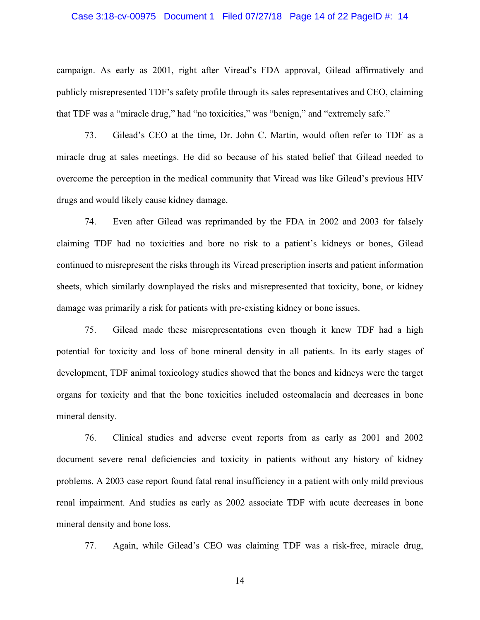#### Case 3:18-cv-00975 Document 1 Filed 07/27/18 Page 14 of 22 PageID #: 14

campaign. As early as 2001, right after Viread's FDA approval, Gilead affirmatively and publicly misrepresented TDF's safety profile through its sales representatives and CEO, claiming that TDF was a "miracle drug," had "no toxicities," was "benign," and "extremely safe."

73. Gilead's CEO at the time, Dr. John C. Martin, would often refer to TDF as a miracle drug at sales meetings. He did so because of his stated belief that Gilead needed to overcome the perception in the medical community that Viread was like Gilead's previous HIV drugs and would likely cause kidney damage.

74. Even after Gilead was reprimanded by the FDA in 2002 and 2003 for falsely claiming TDF had no toxicities and bore no risk to a patient's kidneys or bones, Gilead continued to misrepresent the risks through its Viread prescription inserts and patient information sheets, which similarly downplayed the risks and misrepresented that toxicity, bone, or kidney damage was primarily a risk for patients with pre-existing kidney or bone issues.

75. Gilead made these misrepresentations even though it knew TDF had a high potential for toxicity and loss of bone mineral density in all patients. In its early stages of development, TDF animal toxicology studies showed that the bones and kidneys were the target organs for toxicity and that the bone toxicities included osteomalacia and decreases in bone mineral density.

76. Clinical studies and adverse event reports from as early as 2001 and 2002 document severe renal deficiencies and toxicity in patients without any history of kidney problems. A 2003 case report found fatal renal insufficiency in a patient with only mild previous renal impairment. And studies as early as 2002 associate TDF with acute decreases in bone mineral density and bone loss.

77. Again, while Gilead's CEO was claiming TDF was a risk-free, miracle drug,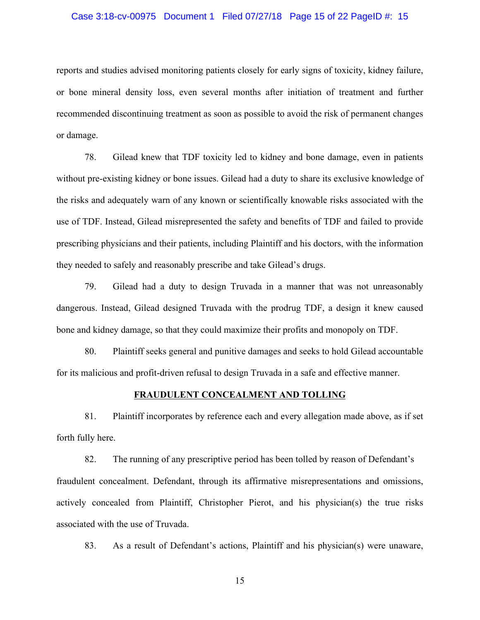#### Case 3:18-cv-00975 Document 1 Filed 07/27/18 Page 15 of 22 PageID #: 15

reports and studies advised monitoring patients closely for early signs of toxicity, kidney failure, or bone mineral density loss, even several months after initiation of treatment and further recommended discontinuing treatment as soon as possible to avoid the risk of permanent changes or damage.

78. Gilead knew that TDF toxicity led to kidney and bone damage, even in patients without pre-existing kidney or bone issues. Gilead had a duty to share its exclusive knowledge of the risks and adequately warn of any known or scientifically knowable risks associated with the use of TDF. Instead, Gilead misrepresented the safety and benefits of TDF and failed to provide prescribing physicians and their patients, including Plaintiff and his doctors, with the information they needed to safely and reasonably prescribe and take Gilead's drugs.

79. Gilead had a duty to design Truvada in a manner that was not unreasonably dangerous. Instead, Gilead designed Truvada with the prodrug TDF, a design it knew caused bone and kidney damage, so that they could maximize their profits and monopoly on TDF.

80. Plaintiff seeks general and punitive damages and seeks to hold Gilead accountable for its malicious and profit-driven refusal to design Truvada in a safe and effective manner.

#### **FRAUDULENT CONCEALMENT AND TOLLING**

81. Plaintiff incorporates by reference each and every allegation made above, as if set forth fully here.

82. The running of any prescriptive period has been tolled by reason of Defendant's fraudulent concealment. Defendant, through its affirmative misrepresentations and omissions, actively concealed from Plaintiff, Christopher Pierot, and his physician(s) the true risks associated with the use of Truvada.

83. As a result of Defendant's actions, Plaintiff and his physician(s) were unaware,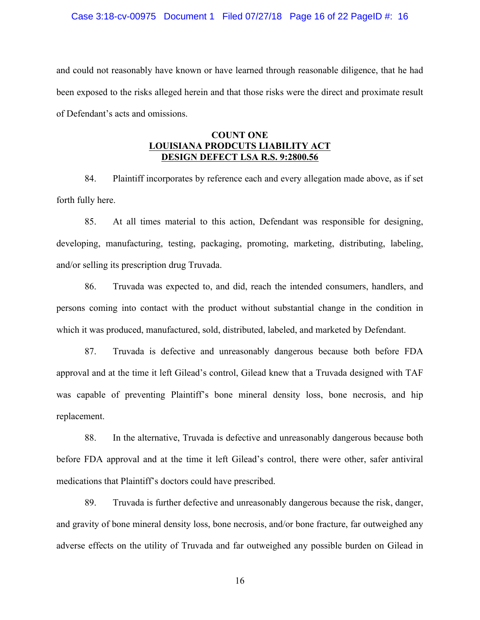#### Case 3:18-cv-00975 Document 1 Filed 07/27/18 Page 16 of 22 PageID #: 16

and could not reasonably have known or have learned through reasonable diligence, that he had been exposed to the risks alleged herein and that those risks were the direct and proximate result of Defendant's acts and omissions.

### **COUNT ONE LOUISIANA PRODCUTS LIABILITY ACT DESIGN DEFECT LSA R.S. 9:2800.56**

84. Plaintiff incorporates by reference each and every allegation made above, as if set forth fully here.

85. At all times material to this action, Defendant was responsible for designing, developing, manufacturing, testing, packaging, promoting, marketing, distributing, labeling, and/or selling its prescription drug Truvada.

86. Truvada was expected to, and did, reach the intended consumers, handlers, and persons coming into contact with the product without substantial change in the condition in which it was produced, manufactured, sold, distributed, labeled, and marketed by Defendant.

87. Truvada is defective and unreasonably dangerous because both before FDA approval and at the time it left Gilead's control, Gilead knew that a Truvada designed with TAF was capable of preventing Plaintiff's bone mineral density loss, bone necrosis, and hip replacement.

88. In the alternative, Truvada is defective and unreasonably dangerous because both before FDA approval and at the time it left Gilead's control, there were other, safer antiviral medications that Plaintiff's doctors could have prescribed.

89. Truvada is further defective and unreasonably dangerous because the risk, danger, and gravity of bone mineral density loss, bone necrosis, and/or bone fracture, far outweighed any adverse effects on the utility of Truvada and far outweighed any possible burden on Gilead in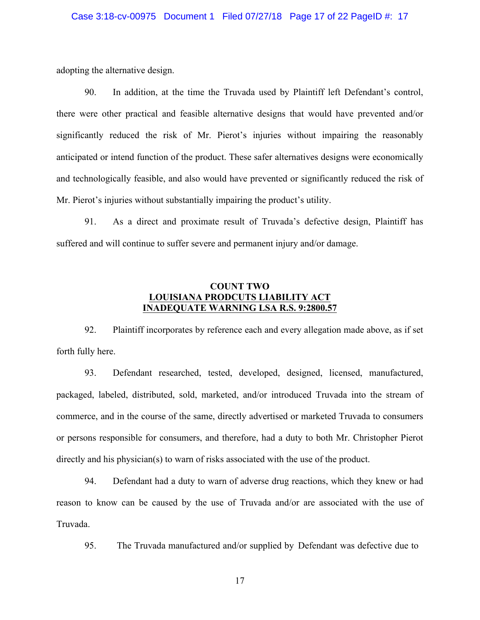#### Case 3:18-cv-00975 Document 1 Filed 07/27/18 Page 17 of 22 PageID #: 17

adopting the alternative design.

90. In addition, at the time the Truvada used by Plaintiff left Defendant's control, there were other practical and feasible alternative designs that would have prevented and/or significantly reduced the risk of Mr. Pierot's injuries without impairing the reasonably anticipated or intend function of the product. These safer alternatives designs were economically and technologically feasible, and also would have prevented or significantly reduced the risk of Mr. Pierot's injuries without substantially impairing the product's utility.

91. As a direct and proximate result of Truvada's defective design, Plaintiff has suffered and will continue to suffer severe and permanent injury and/or damage.

# **COUNT TWO LOUISIANA PRODCUTS LIABILITY ACT INADEQUATE WARNING LSA R.S. 9:2800.57**

92. Plaintiff incorporates by reference each and every allegation made above, as if set forth fully here.

93. Defendant researched, tested, developed, designed, licensed, manufactured, packaged, labeled, distributed, sold, marketed, and/or introduced Truvada into the stream of commerce, and in the course of the same, directly advertised or marketed Truvada to consumers or persons responsible for consumers, and therefore, had a duty to both Mr. Christopher Pierot directly and his physician(s) to warn of risks associated with the use of the product.

94. Defendant had a duty to warn of adverse drug reactions, which they knew or had reason to know can be caused by the use of Truvada and/or are associated with the use of Truvada.

95. The Truvada manufactured and/or supplied by Defendant was defective due to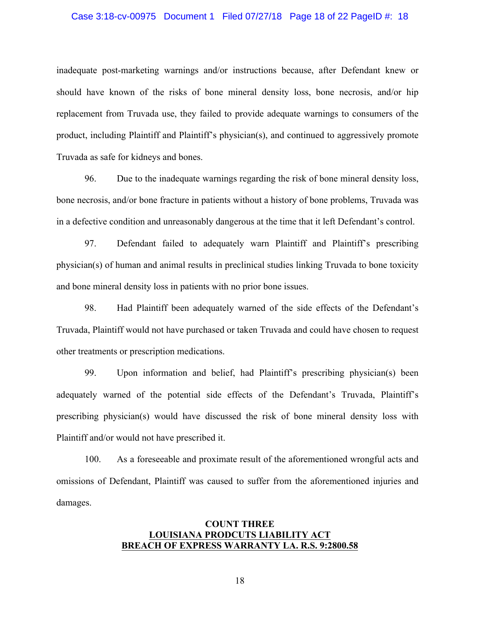#### Case 3:18-cv-00975 Document 1 Filed 07/27/18 Page 18 of 22 PageID #: 18

inadequate post-marketing warnings and/or instructions because, after Defendant knew or should have known of the risks of bone mineral density loss, bone necrosis, and/or hip replacement from Truvada use, they failed to provide adequate warnings to consumers of the product, including Plaintiff and Plaintiff's physician(s), and continued to aggressively promote Truvada as safe for kidneys and bones.

96. Due to the inadequate warnings regarding the risk of bone mineral density loss, bone necrosis, and/or bone fracture in patients without a history of bone problems, Truvada was in a defective condition and unreasonably dangerous at the time that it left Defendant's control.

97. Defendant failed to adequately warn Plaintiff and Plaintiff's prescribing physician(s) of human and animal results in preclinical studies linking Truvada to bone toxicity and bone mineral density loss in patients with no prior bone issues.

98. Had Plaintiff been adequately warned of the side effects of the Defendant's Truvada, Plaintiff would not have purchased or taken Truvada and could have chosen to request other treatments or prescription medications.

99. Upon information and belief, had Plaintiff's prescribing physician(s) been adequately warned of the potential side effects of the Defendant's Truvada, Plaintiff's prescribing physician(s) would have discussed the risk of bone mineral density loss with Plaintiff and/or would not have prescribed it.

100. As a foreseeable and proximate result of the aforementioned wrongful acts and omissions of Defendant, Plaintiff was caused to suffer from the aforementioned injuries and damages.

### **COUNT THREE LOUISIANA PRODCUTS LIABILITY ACT BREACH OF EXPRESS WARRANTY LA. R.S. 9:2800.58**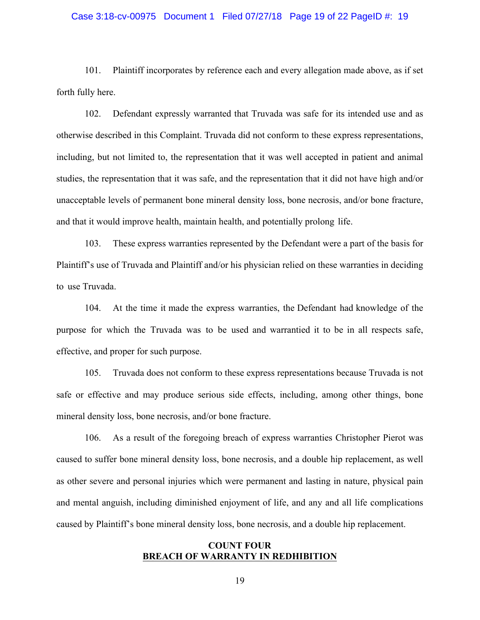#### Case 3:18-cv-00975 Document 1 Filed 07/27/18 Page 19 of 22 PageID #: 19

101. Plaintiff incorporates by reference each and every allegation made above, as if set forth fully here.

102. Defendant expressly warranted that Truvada was safe for its intended use and as otherwise described in this Complaint. Truvada did not conform to these express representations, including, but not limited to, the representation that it was well accepted in patient and animal studies, the representation that it was safe, and the representation that it did not have high and/or unacceptable levels of permanent bone mineral density loss, bone necrosis, and/or bone fracture, and that it would improve health, maintain health, and potentially prolong life.

103. These express warranties represented by the Defendant were a part of the basis for Plaintiff's use of Truvada and Plaintiff and/or his physician relied on these warranties in deciding to use Truvada.

104. At the time it made the express warranties, the Defendant had knowledge of the purpose for which the Truvada was to be used and warrantied it to be in all respects safe, effective, and proper for such purpose.

105. Truvada does not conform to these express representations because Truvada is not safe or effective and may produce serious side effects, including, among other things, bone mineral density loss, bone necrosis, and/or bone fracture.

106. As a result of the foregoing breach of express warranties Christopher Pierot was caused to suffer bone mineral density loss, bone necrosis, and a double hip replacement, as well as other severe and personal injuries which were permanent and lasting in nature, physical pain and mental anguish, including diminished enjoyment of life, and any and all life complications caused by Plaintiff's bone mineral density loss, bone necrosis, and a double hip replacement.

### **COUNT FOUR BREACH OF WARRANTY IN REDHIBITION**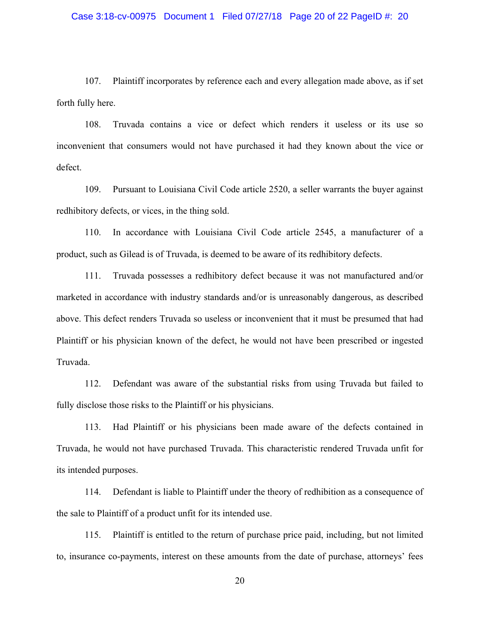#### Case 3:18-cv-00975 Document 1 Filed 07/27/18 Page 20 of 22 PageID #: 20

107. Plaintiff incorporates by reference each and every allegation made above, as if set forth fully here.

108. Truvada contains a vice or defect which renders it useless or its use so inconvenient that consumers would not have purchased it had they known about the vice or defect.

109. Pursuant to Louisiana Civil Code article 2520, a seller warrants the buyer against redhibitory defects, or vices, in the thing sold.

110. In accordance with Louisiana Civil Code article 2545, a manufacturer of a product, such as Gilead is of Truvada, is deemed to be aware of its redhibitory defects.

111. Truvada possesses a redhibitory defect because it was not manufactured and/or marketed in accordance with industry standards and/or is unreasonably dangerous, as described above. This defect renders Truvada so useless or inconvenient that it must be presumed that had Plaintiff or his physician known of the defect, he would not have been prescribed or ingested Truvada.

112. Defendant was aware of the substantial risks from using Truvada but failed to fully disclose those risks to the Plaintiff or his physicians.

113. Had Plaintiff or his physicians been made aware of the defects contained in Truvada, he would not have purchased Truvada. This characteristic rendered Truvada unfit for its intended purposes.

114. Defendant is liable to Plaintiff under the theory of redhibition as a consequence of the sale to Plaintiff of a product unfit for its intended use.

115. Plaintiff is entitled to the return of purchase price paid, including, but not limited to, insurance co-payments, interest on these amounts from the date of purchase, attorneys' fees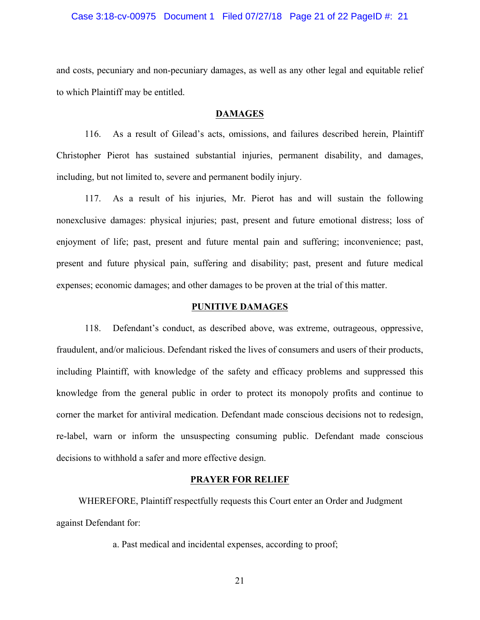#### Case 3:18-cv-00975 Document 1 Filed 07/27/18 Page 21 of 22 PageID #: 21

and costs, pecuniary and non-pecuniary damages, as well as any other legal and equitable relief to which Plaintiff may be entitled.

#### **DAMAGES**

116. As a result of Gilead's acts, omissions, and failures described herein, Plaintiff Christopher Pierot has sustained substantial injuries, permanent disability, and damages, including, but not limited to, severe and permanent bodily injury.

117. As a result of his injuries, Mr. Pierot has and will sustain the following nonexclusive damages: physical injuries; past, present and future emotional distress; loss of enjoyment of life; past, present and future mental pain and suffering; inconvenience; past, present and future physical pain, suffering and disability; past, present and future medical expenses; economic damages; and other damages to be proven at the trial of this matter.

#### **PUNITIVE DAMAGES**

118. Defendant's conduct, as described above, was extreme, outrageous, oppressive, fraudulent, and/or malicious. Defendant risked the lives of consumers and users of their products, including Plaintiff, with knowledge of the safety and efficacy problems and suppressed this knowledge from the general public in order to protect its monopoly profits and continue to corner the market for antiviral medication. Defendant made conscious decisions not to redesign, re-label, warn or inform the unsuspecting consuming public. Defendant made conscious decisions to withhold a safer and more effective design.

### **PRAYER FOR RELIEF**

WHEREFORE, Plaintiff respectfully requests this Court enter an Order and Judgment against Defendant for:

a. Past medical and incidental expenses, according to proof;